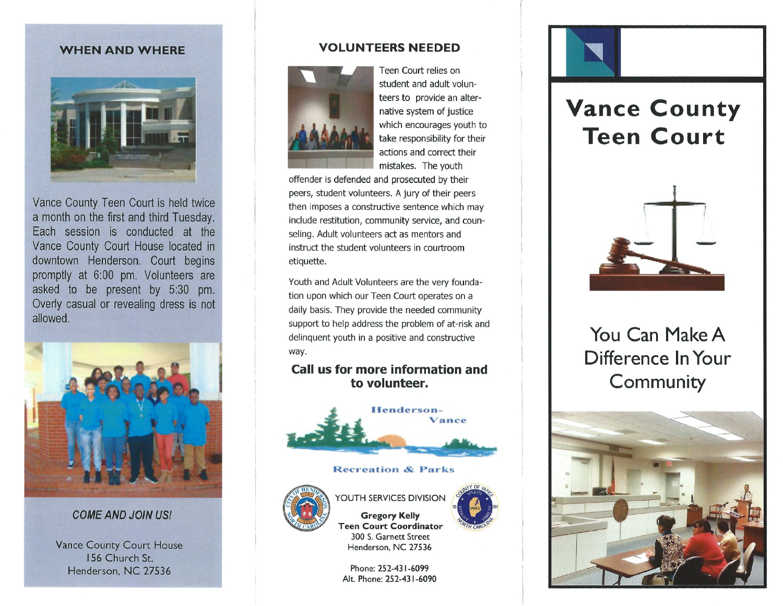## **WHEN AND WHERE**



Vance County Teen Court is held twice a month on the first and third Tuesday. Each session is conducted at the Vance County Court House located in downtown Henderson. Court begins promptly at 6:00 pm. Volunteers are asked to be present by 5:30 pm. Overly casual or revealing dress is not allowed.



## *COME AND JOIN US!*

Vance County Court House 156 Church St. Henderson, NC 27536

## **VOLUNTEERS NEEDED**



Teen Court relies on student and adult volunteers to provide an alternative system of justice which encourages youth to take responsibility for their actions and correct their mistakes. The youth

offender is defended and prosecuted by thei peers, student volunteers. A jury of their peers then imposes a constructive sentence which may include restitution, community service, and counseling. Adult volunteers act as mentors and instruct the student volunteers in courtroom etiquette.

Youth and Adult Volunteers are the very foundation upon which our Teen Court operates on a daily basis. They provide the needed community support to help address the problem of at-risk and delinquent youth in a positive and constructive way.

## **Call us for more information and to volunteer.**



#### Recreation & Parks



#### $18 <$  vance  $> 81$ YOUTH SERVICES DIVISION Gregory Kelly

**CONTROL RANGE CALLANDRA COMPANY** 

)1-  $H$ CAROY

Teen Court Coordinator 300 S. Garnett Street Henderson. NC 27536

Phone: 252-431-6099 Alt. Phone: 252-431-6090



# **Vance County Teen Court**



**You Can Make A Difference InYour Community**